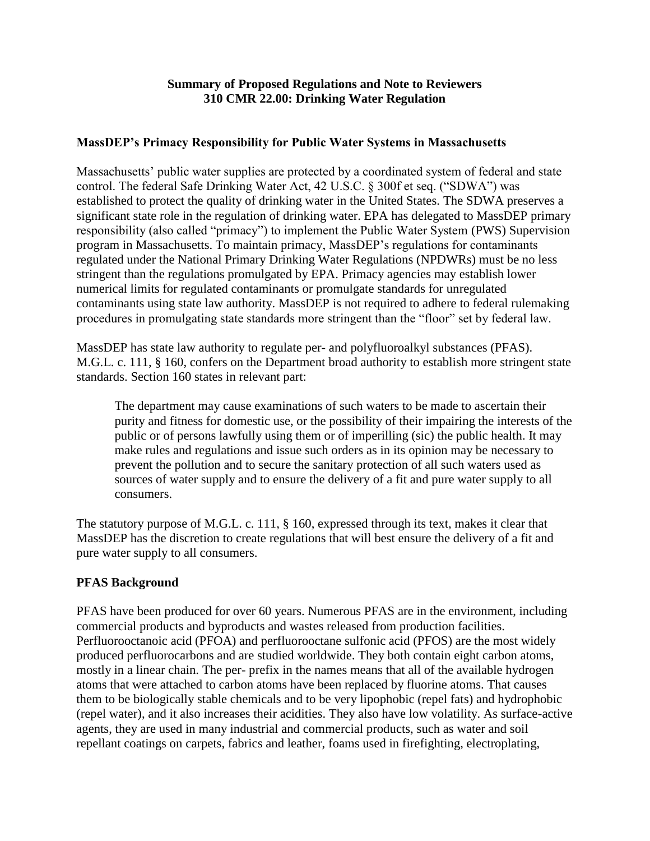## **Summary of Proposed Regulations and Note to Reviewers 310 CMR 22.00: Drinking Water Regulation**

## **MassDEP's Primacy Responsibility for Public Water Systems in Massachusetts**

Massachusetts' public water supplies are protected by a coordinated system of federal and state control. The federal Safe Drinking Water Act, 42 U.S.C. § 300f et seq. ("SDWA") was established to protect the quality of drinking water in the United States. The SDWA preserves a significant state role in the regulation of drinking water. EPA has delegated to MassDEP primary responsibility (also called "primacy") to implement the Public Water System (PWS) Supervision program in Massachusetts. To maintain primacy, MassDEP's regulations for contaminants regulated under the National Primary Drinking Water Regulations (NPDWRs) must be no less stringent than the regulations promulgated by EPA. Primacy agencies may establish lower numerical limits for regulated contaminants or promulgate standards for unregulated contaminants using state law authority. MassDEP is not required to adhere to federal rulemaking procedures in promulgating state standards more stringent than the "floor" set by federal law.

MassDEP has state law authority to regulate per- and polyfluoroalkyl substances (PFAS). M.G.L. c. 111, § 160, confers on the Department broad authority to establish more stringent state standards. Section 160 states in relevant part:

The department may cause examinations of such waters to be made to ascertain their purity and fitness for domestic use, or the possibility of their impairing the interests of the public or of persons lawfully using them or of imperilling (sic) the public health. It may make rules and regulations and issue such orders as in its opinion may be necessary to prevent the pollution and to secure the sanitary protection of all such waters used as sources of water supply and to ensure the delivery of a fit and pure water supply to all consumers.

The statutory purpose of M.G.L. c. 111, § 160, expressed through its text, makes it clear that MassDEP has the discretion to create regulations that will best ensure the delivery of a fit and pure water supply to all consumers.

## **PFAS Background**

PFAS have been produced for over 60 years. Numerous PFAS are in the environment, including commercial products and byproducts and wastes released from production facilities. Perfluorooctanoic acid (PFOA) and perfluorooctane sulfonic acid (PFOS) are the most widely produced perfluorocarbons and are studied worldwide. They both contain eight carbon atoms, mostly in a linear chain. The per- prefix in the names means that all of the available hydrogen atoms that were attached to carbon atoms have been replaced by fluorine atoms. That causes them to be biologically stable chemicals and to be very lipophobic (repel fats) and hydrophobic (repel water), and it also increases their acidities. They also have low volatility. As surface-active agents, they are used in many industrial and commercial products, such as water and soil repellant coatings on carpets, fabrics and leather, foams used in firefighting, electroplating,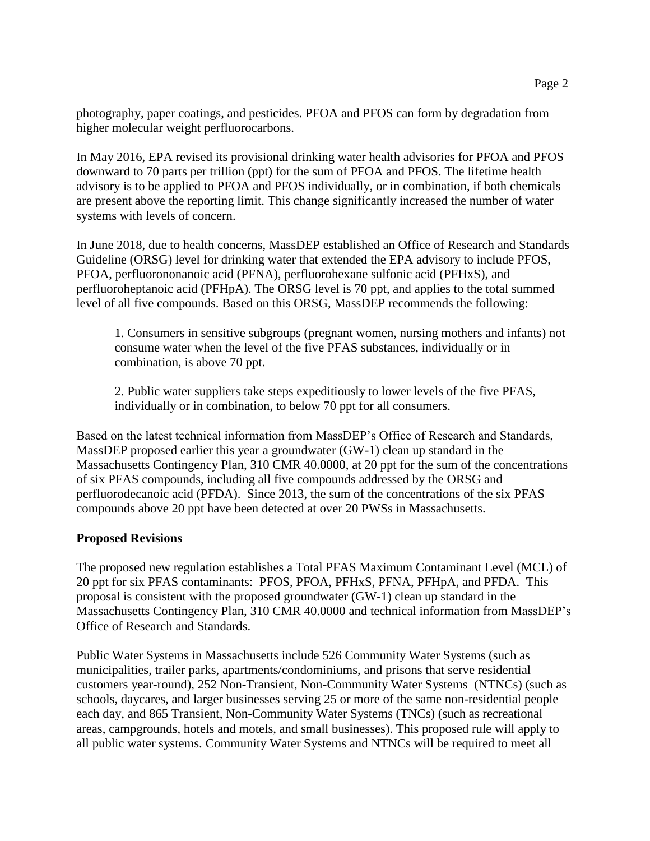photography, paper coatings, and pesticides. PFOA and PFOS can form by degradation from higher molecular weight perfluorocarbons.

In May 2016, EPA revised its provisional drinking water health advisories for PFOA and PFOS downward to 70 parts per trillion (ppt) for the sum of PFOA and PFOS. The lifetime health advisory is to be applied to PFOA and PFOS individually, or in combination, if both chemicals are present above the reporting limit. This change significantly increased the number of water systems with levels of concern.

In June 2018, due to health concerns, MassDEP established an Office of Research and Standards Guideline (ORSG) level for drinking water that extended the EPA advisory to include PFOS, PFOA, perfluorononanoic acid (PFNA), perfluorohexane sulfonic acid (PFHxS), and perfluoroheptanoic acid (PFHpA). The ORSG level is 70 ppt, and applies to the total summed level of all five compounds. Based on this ORSG, MassDEP recommends the following:

1. Consumers in sensitive subgroups (pregnant women, nursing mothers and infants) not consume water when the level of the five PFAS substances, individually or in combination, is above 70 ppt.

2. Public water suppliers take steps expeditiously to lower levels of the five PFAS, individually or in combination, to below 70 ppt for all consumers.

Based on the latest technical information from MassDEP's Office of Research and Standards, MassDEP proposed earlier this year a groundwater (GW-1) clean up standard in the Massachusetts Contingency Plan, 310 CMR 40.0000, at 20 ppt for the sum of the concentrations of six PFAS compounds, including all five compounds addressed by the ORSG and perfluorodecanoic acid (PFDA). Since 2013, the sum of the concentrations of the six PFAS compounds above 20 ppt have been detected at over 20 PWSs in Massachusetts.

## **Proposed Revisions**

The proposed new regulation establishes a Total PFAS Maximum Contaminant Level (MCL) of 20 ppt for six PFAS contaminants: PFOS, PFOA, PFHxS, PFNA, PFHpA, and PFDA. This proposal is consistent with the proposed groundwater (GW-1) clean up standard in the Massachusetts Contingency Plan, 310 CMR 40.0000 and technical information from MassDEP's Office of Research and Standards.

Public Water Systems in Massachusetts include 526 Community Water Systems (such as municipalities, trailer parks, apartments/condominiums, and prisons that serve residential customers year-round), 252 Non-Transient, Non-Community Water Systems (NTNCs) (such as schools, daycares, and larger businesses serving 25 or more of the same non-residential people each day, and 865 Transient, Non-Community Water Systems (TNCs) (such as recreational areas, campgrounds, hotels and motels, and small businesses). This proposed rule will apply to all public water systems. Community Water Systems and NTNCs will be required to meet all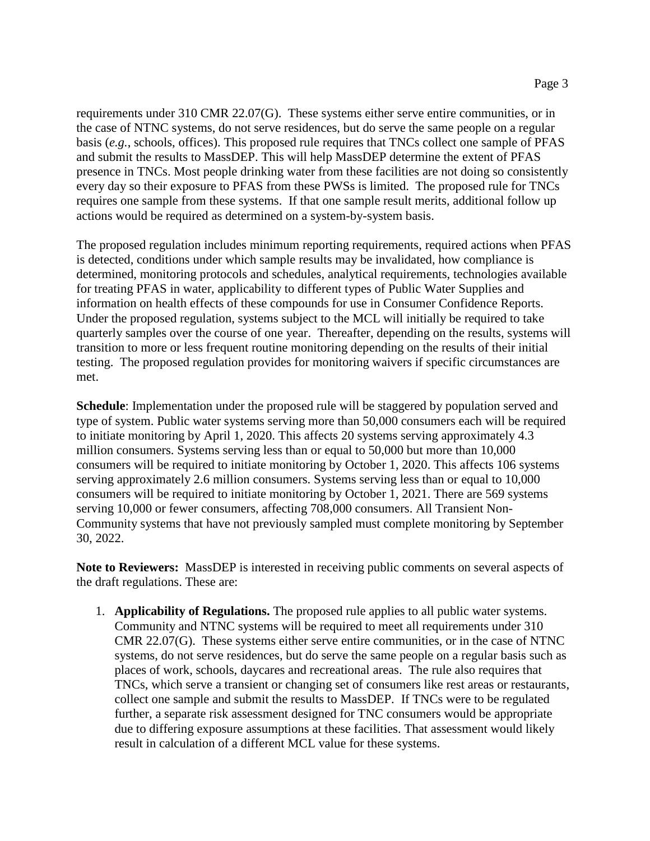requirements under 310 CMR 22.07(G). These systems either serve entire communities, or in the case of NTNC systems, do not serve residences, but do serve the same people on a regular basis (*e.g.*, schools, offices). This proposed rule requires that TNCs collect one sample of PFAS and submit the results to MassDEP. This will help MassDEP determine the extent of PFAS presence in TNCs. Most people drinking water from these facilities are not doing so consistently every day so their exposure to PFAS from these PWSs is limited. The proposed rule for TNCs requires one sample from these systems. If that one sample result merits, additional follow up actions would be required as determined on a system-by-system basis.

The proposed regulation includes minimum reporting requirements, required actions when PFAS is detected, conditions under which sample results may be invalidated, how compliance is determined, monitoring protocols and schedules, analytical requirements, technologies available for treating PFAS in water, applicability to different types of Public Water Supplies and information on health effects of these compounds for use in Consumer Confidence Reports. Under the proposed regulation, systems subject to the MCL will initially be required to take quarterly samples over the course of one year. Thereafter, depending on the results, systems will transition to more or less frequent routine monitoring depending on the results of their initial testing. The proposed regulation provides for monitoring waivers if specific circumstances are met.

**Schedule**: Implementation under the proposed rule will be staggered by population served and type of system. Public water systems serving more than 50,000 consumers each will be required to initiate monitoring by April 1, 2020. This affects 20 systems serving approximately 4.3 million consumers. Systems serving less than or equal to 50,000 but more than 10,000 consumers will be required to initiate monitoring by October 1, 2020. This affects 106 systems serving approximately 2.6 million consumers. Systems serving less than or equal to 10,000 consumers will be required to initiate monitoring by October 1, 2021. There are 569 systems serving 10,000 or fewer consumers, affecting 708,000 consumers. All Transient Non-Community systems that have not previously sampled must complete monitoring by September 30, 2022.

**Note to Reviewers:** MassDEP is interested in receiving public comments on several aspects of the draft regulations. These are:

1. **Applicability of Regulations.** The proposed rule applies to all public water systems. Community and NTNC systems will be required to meet all requirements under 310 CMR 22.07(G). These systems either serve entire communities, or in the case of NTNC systems, do not serve residences, but do serve the same people on a regular basis such as places of work, schools, daycares and recreational areas. The rule also requires that TNCs, which serve a transient or changing set of consumers like rest areas or restaurants, collect one sample and submit the results to MassDEP. If TNCs were to be regulated further, a separate risk assessment designed for TNC consumers would be appropriate due to differing exposure assumptions at these facilities. That assessment would likely result in calculation of a different MCL value for these systems.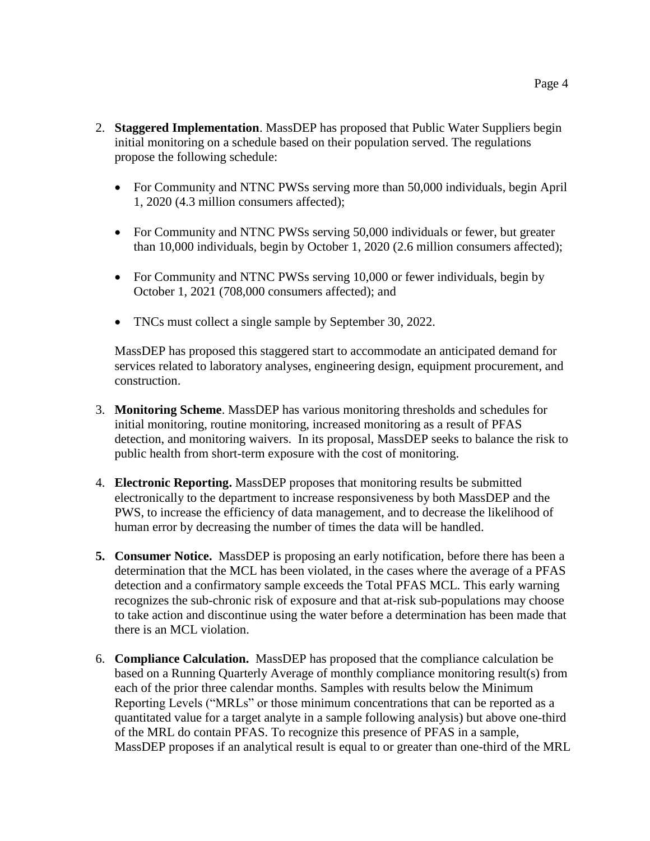- 2. **Staggered Implementation**. MassDEP has proposed that Public Water Suppliers begin initial monitoring on a schedule based on their population served. The regulations propose the following schedule:
	- For Community and NTNC PWSs serving more than 50,000 individuals, begin April 1, 2020 (4.3 million consumers affected);
	- For Community and NTNC PWSs serving 50,000 individuals or fewer, but greater than 10,000 individuals, begin by October 1, 2020 (2.6 million consumers affected);
	- For Community and NTNC PWSs serving 10,000 or fewer individuals, begin by October 1, 2021 (708,000 consumers affected); and
	- TNCs must collect a single sample by September 30, 2022.

MassDEP has proposed this staggered start to accommodate an anticipated demand for services related to laboratory analyses, engineering design, equipment procurement, and construction.

- 3. **Monitoring Scheme**. MassDEP has various monitoring thresholds and schedules for initial monitoring, routine monitoring, increased monitoring as a result of PFAS detection, and monitoring waivers. In its proposal, MassDEP seeks to balance the risk to public health from short-term exposure with the cost of monitoring.
- 4. **Electronic Reporting.** MassDEP proposes that monitoring results be submitted electronically to the department to increase responsiveness by both MassDEP and the PWS, to increase the efficiency of data management, and to decrease the likelihood of human error by decreasing the number of times the data will be handled.
- **5. Consumer Notice.** MassDEP is proposing an early notification, before there has been a determination that the MCL has been violated, in the cases where the average of a PFAS detection and a confirmatory sample exceeds the Total PFAS MCL. This early warning recognizes the sub-chronic risk of exposure and that at-risk sub-populations may choose to take action and discontinue using the water before a determination has been made that there is an MCL violation.
- 6. **Compliance Calculation.** MassDEP has proposed that the compliance calculation be based on a Running Quarterly Average of monthly compliance monitoring result(s) from each of the prior three calendar months. Samples with results below the Minimum Reporting Levels ("MRLs" or those minimum concentrations that can be reported as a quantitated value for a target analyte in a sample following analysis) but above one-third of the MRL do contain PFAS. To recognize this presence of PFAS in a sample, MassDEP proposes if an analytical result is equal to or greater than one-third of the MRL